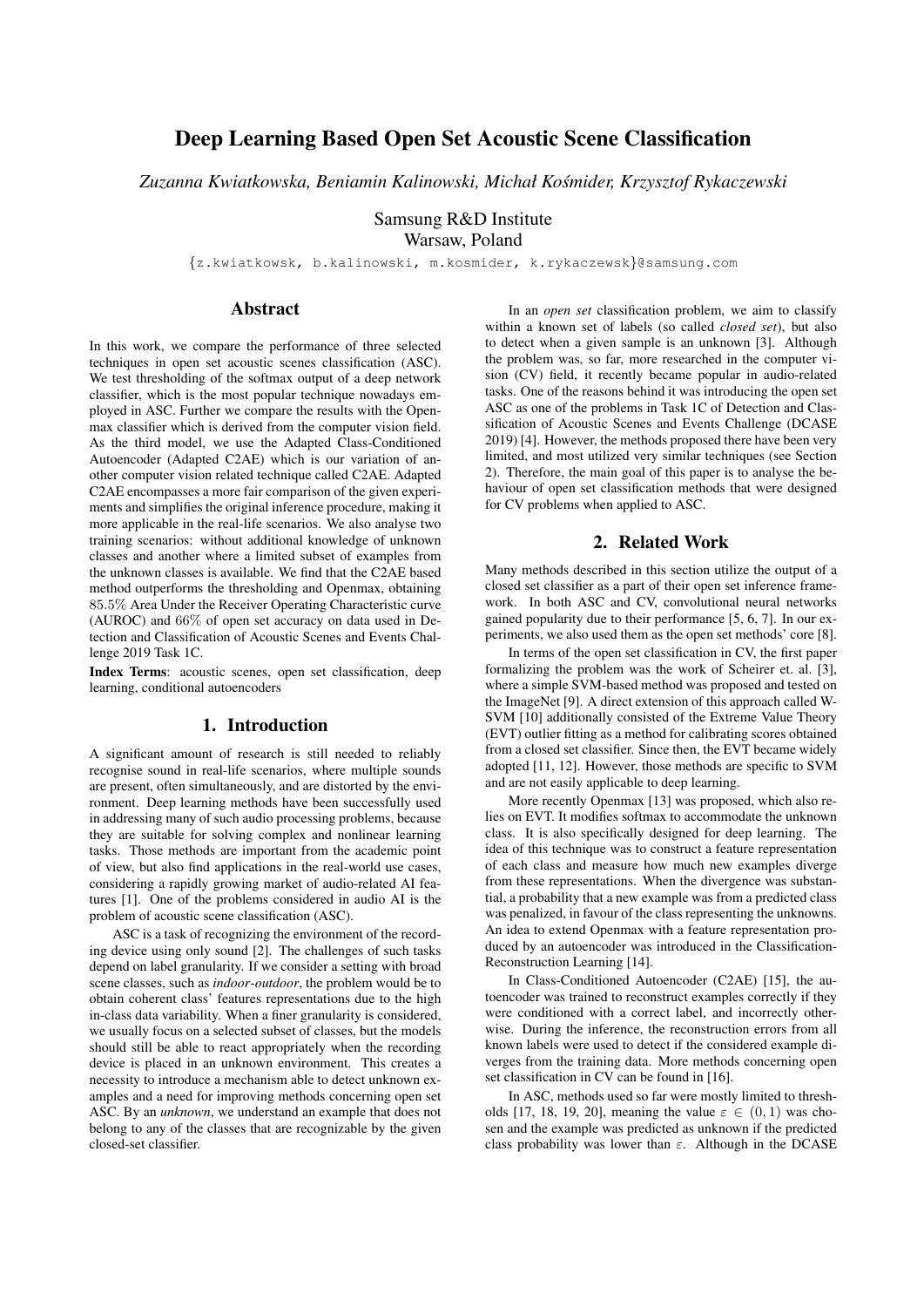# Deep Learning Based Open Set Acoustic Scene Classification

*Zuzanna Kwiatkowska, Beniamin Kalinowski, Michał Kosmider, Krzysztof Rykaczewski ´*

Samsung R&D Institute Warsaw, Poland

{z.kwiatkowsk, b.kalinowski, m.kosmider, k.rykaczewsk}@samsung.com

## Abstract

In this work, we compare the performance of three selected techniques in open set acoustic scenes classification (ASC). We test thresholding of the softmax output of a deep network classifier, which is the most popular technique nowadays employed in ASC. Further we compare the results with the Openmax classifier which is derived from the computer vision field. As the third model, we use the Adapted Class-Conditioned Autoencoder (Adapted C2AE) which is our variation of another computer vision related technique called C2AE. Adapted C2AE encompasses a more fair comparison of the given experiments and simplifies the original inference procedure, making it more applicable in the real-life scenarios. We also analyse two training scenarios: without additional knowledge of unknown classes and another where a limited subset of examples from the unknown classes is available. We find that the C2AE based method outperforms the thresholding and Openmax, obtaining 85.5% Area Under the Receiver Operating Characteristic curve (AUROC) and 66% of open set accuracy on data used in Detection and Classification of Acoustic Scenes and Events Challenge 2019 Task 1C.

Index Terms: acoustic scenes, open set classification, deep learning, conditional autoencoders

## 1. Introduction

A significant amount of research is still needed to reliably recognise sound in real-life scenarios, where multiple sounds are present, often simultaneously, and are distorted by the environment. Deep learning methods have been successfully used in addressing many of such audio processing problems, because they are suitable for solving complex and nonlinear learning tasks. Those methods are important from the academic point of view, but also find applications in the real-world use cases, considering a rapidly growing market of audio-related AI features [1]. One of the problems considered in audio AI is the problem of acoustic scene classification (ASC).

ASC is a task of recognizing the environment of the recording device using only sound [2]. The challenges of such tasks depend on label granularity. If we consider a setting with broad scene classes, such as *indoor*-*outdoor*, the problem would be to obtain coherent class' features representations due to the high in-class data variability. When a finer granularity is considered, we usually focus on a selected subset of classes, but the models should still be able to react appropriately when the recording device is placed in an unknown environment. This creates a necessity to introduce a mechanism able to detect unknown examples and a need for improving methods concerning open set ASC. By an *unknown*, we understand an example that does not belong to any of the classes that are recognizable by the given closed-set classifier.

In an *open set* classification problem, we aim to classify within a known set of labels (so called *closed set*), but also to detect when a given sample is an unknown [3]. Although the problem was, so far, more researched in the computer vision (CV) field, it recently became popular in audio-related tasks. One of the reasons behind it was introducing the open set ASC as one of the problems in Task 1C of Detection and Classification of Acoustic Scenes and Events Challenge (DCASE 2019) [4]. However, the methods proposed there have been very limited, and most utilized very similar techniques (see Section 2). Therefore, the main goal of this paper is to analyse the behaviour of open set classification methods that were designed for CV problems when applied to ASC.

## 2. Related Work

Many methods described in this section utilize the output of a closed set classifier as a part of their open set inference framework. In both ASC and CV, convolutional neural networks gained popularity due to their performance [5, 6, 7]. In our experiments, we also used them as the open set methods' core [8].

In terms of the open set classification in CV, the first paper formalizing the problem was the work of Scheirer et. al. [3], where a simple SVM-based method was proposed and tested on the ImageNet [9]. A direct extension of this approach called W-SVM [10] additionally consisted of the Extreme Value Theory (EVT) outlier fitting as a method for calibrating scores obtained from a closed set classifier. Since then, the EVT became widely adopted [11, 12]. However, those methods are specific to SVM and are not easily applicable to deep learning.

More recently Openmax [13] was proposed, which also relies on EVT. It modifies softmax to accommodate the unknown class. It is also specifically designed for deep learning. The idea of this technique was to construct a feature representation of each class and measure how much new examples diverge from these representations. When the divergence was substantial, a probability that a new example was from a predicted class was penalized, in favour of the class representing the unknowns. An idea to extend Openmax with a feature representation produced by an autoencoder was introduced in the Classification-Reconstruction Learning [14].

In Class-Conditioned Autoencoder (C2AE) [15], the autoencoder was trained to reconstruct examples correctly if they were conditioned with a correct label, and incorrectly otherwise. During the inference, the reconstruction errors from all known labels were used to detect if the considered example diverges from the training data. More methods concerning open set classification in CV can be found in [16].

In ASC, methods used so far were mostly limited to thresholds [17, 18, 19, 20], meaning the value  $\varepsilon \in (0,1)$  was chosen and the example was predicted as unknown if the predicted class probability was lower than  $\varepsilon$ . Although in the DCASE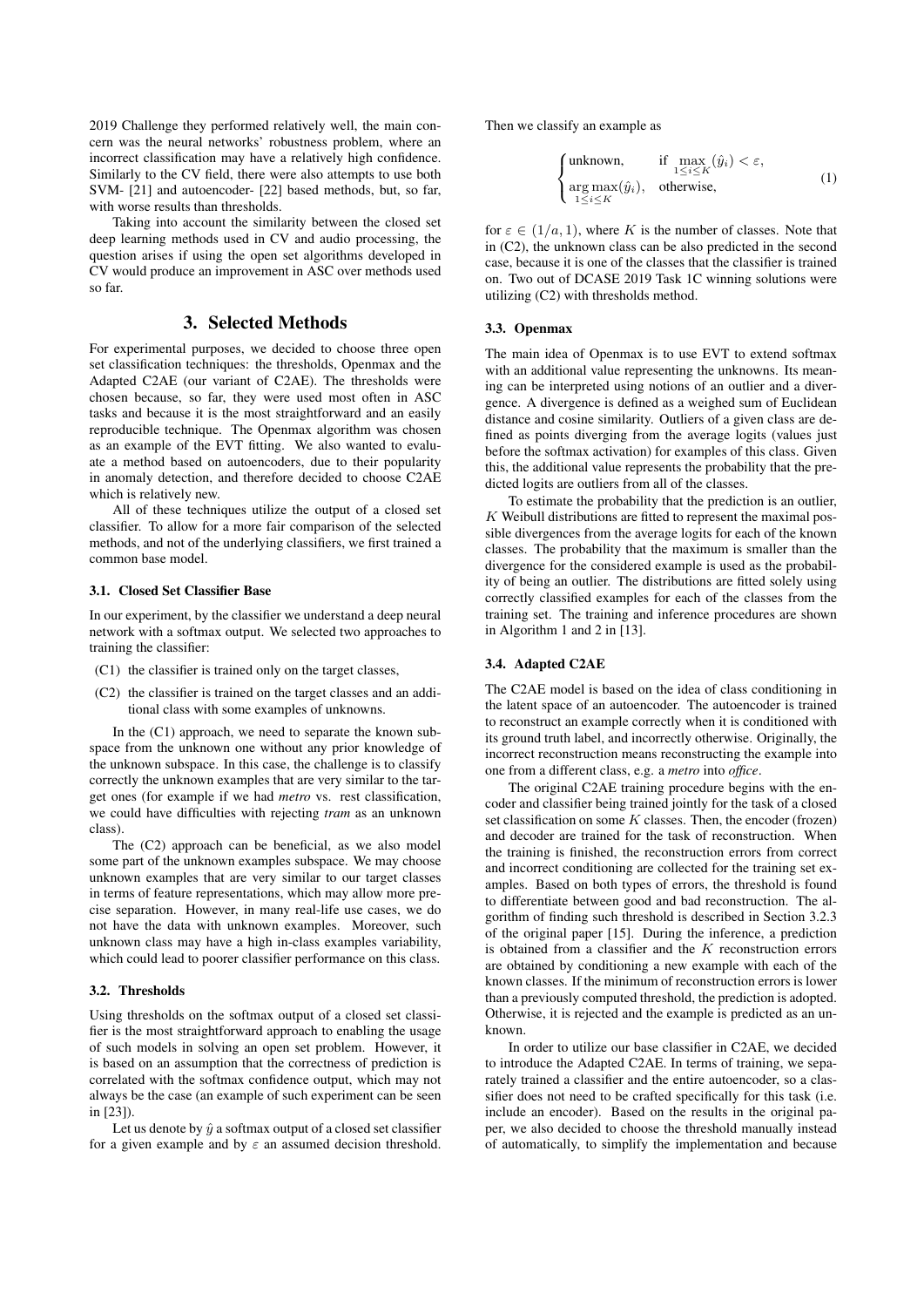2019 Challenge they performed relatively well, the main concern was the neural networks' robustness problem, where an incorrect classification may have a relatively high confidence. Similarly to the CV field, there were also attempts to use both SVM- [21] and autoencoder- [22] based methods, but, so far, with worse results than thresholds.

Taking into account the similarity between the closed set deep learning methods used in CV and audio processing, the question arises if using the open set algorithms developed in CV would produce an improvement in ASC over methods used so far.

## 3. Selected Methods

For experimental purposes, we decided to choose three open set classification techniques: the thresholds, Openmax and the Adapted C2AE (our variant of C2AE). The thresholds were chosen because, so far, they were used most often in ASC tasks and because it is the most straightforward and an easily reproducible technique. The Openmax algorithm was chosen as an example of the EVT fitting. We also wanted to evaluate a method based on autoencoders, due to their popularity in anomaly detection, and therefore decided to choose C2AE which is relatively new.

All of these techniques utilize the output of a closed set classifier. To allow for a more fair comparison of the selected methods, and not of the underlying classifiers, we first trained a common base model.

#### 3.1. Closed Set Classifier Base

In our experiment, by the classifier we understand a deep neural network with a softmax output. We selected two approaches to training the classifier:

- (C1) the classifier is trained only on the target classes,
- (C2) the classifier is trained on the target classes and an additional class with some examples of unknowns.

In the (C1) approach, we need to separate the known subspace from the unknown one without any prior knowledge of the unknown subspace. In this case, the challenge is to classify correctly the unknown examples that are very similar to the target ones (for example if we had *metro* vs. rest classification, we could have difficulties with rejecting *tram* as an unknown class).

The (C2) approach can be beneficial, as we also model some part of the unknown examples subspace. We may choose unknown examples that are very similar to our target classes in terms of feature representations, which may allow more precise separation. However, in many real-life use cases, we do not have the data with unknown examples. Moreover, such unknown class may have a high in-class examples variability, which could lead to poorer classifier performance on this class.

#### 3.2. Thresholds

Using thresholds on the softmax output of a closed set classifier is the most straightforward approach to enabling the usage of such models in solving an open set problem. However, it is based on an assumption that the correctness of prediction is correlated with the softmax confidence output, which may not always be the case (an example of such experiment can be seen in [23]).

Let us denote by  $\hat{y}$  a softmax output of a closed set classifier for a given example and by  $\varepsilon$  an assumed decision threshold. Then we classify an example as

$$
\begin{cases}\n\text{unknown,} & \text{if } \max_{1 \le i \le K} (\hat{y}_i) < \varepsilon, \\
\arg \max_{1 \le i \le K} (\hat{y}_i), & \text{otherwise,}\n\end{cases} \tag{1}
$$

for  $\varepsilon \in (1/a, 1)$ , where K is the number of classes. Note that in (C2), the unknown class can be also predicted in the second case, because it is one of the classes that the classifier is trained on. Two out of DCASE 2019 Task 1C winning solutions were utilizing (C2) with thresholds method.

#### 3.3. Openmax

The main idea of Openmax is to use EVT to extend softmax with an additional value representing the unknowns. Its meaning can be interpreted using notions of an outlier and a divergence. A divergence is defined as a weighed sum of Euclidean distance and cosine similarity. Outliers of a given class are defined as points diverging from the average logits (values just before the softmax activation) for examples of this class. Given this, the additional value represents the probability that the predicted logits are outliers from all of the classes.

To estimate the probability that the prediction is an outlier,  $K$  Weibull distributions are fitted to represent the maximal possible divergences from the average logits for each of the known classes. The probability that the maximum is smaller than the divergence for the considered example is used as the probability of being an outlier. The distributions are fitted solely using correctly classified examples for each of the classes from the training set. The training and inference procedures are shown in Algorithm 1 and 2 in [13].

#### 3.4. Adapted C2AE

The C2AE model is based on the idea of class conditioning in the latent space of an autoencoder. The autoencoder is trained to reconstruct an example correctly when it is conditioned with its ground truth label, and incorrectly otherwise. Originally, the incorrect reconstruction means reconstructing the example into one from a different class, e.g. a *metro* into *office*.

The original C2AE training procedure begins with the encoder and classifier being trained jointly for the task of a closed set classification on some  $K$  classes. Then, the encoder (frozen) and decoder are trained for the task of reconstruction. When the training is finished, the reconstruction errors from correct and incorrect conditioning are collected for the training set examples. Based on both types of errors, the threshold is found to differentiate between good and bad reconstruction. The algorithm of finding such threshold is described in Section 3.2.3 of the original paper [15]. During the inference, a prediction is obtained from a classifier and the  $K$  reconstruction errors are obtained by conditioning a new example with each of the known classes. If the minimum of reconstruction errors is lower than a previously computed threshold, the prediction is adopted. Otherwise, it is rejected and the example is predicted as an unknown.

In order to utilize our base classifier in C2AE, we decided to introduce the Adapted C2AE. In terms of training, we separately trained a classifier and the entire autoencoder, so a classifier does not need to be crafted specifically for this task (i.e. include an encoder). Based on the results in the original paper, we also decided to choose the threshold manually instead of automatically, to simplify the implementation and because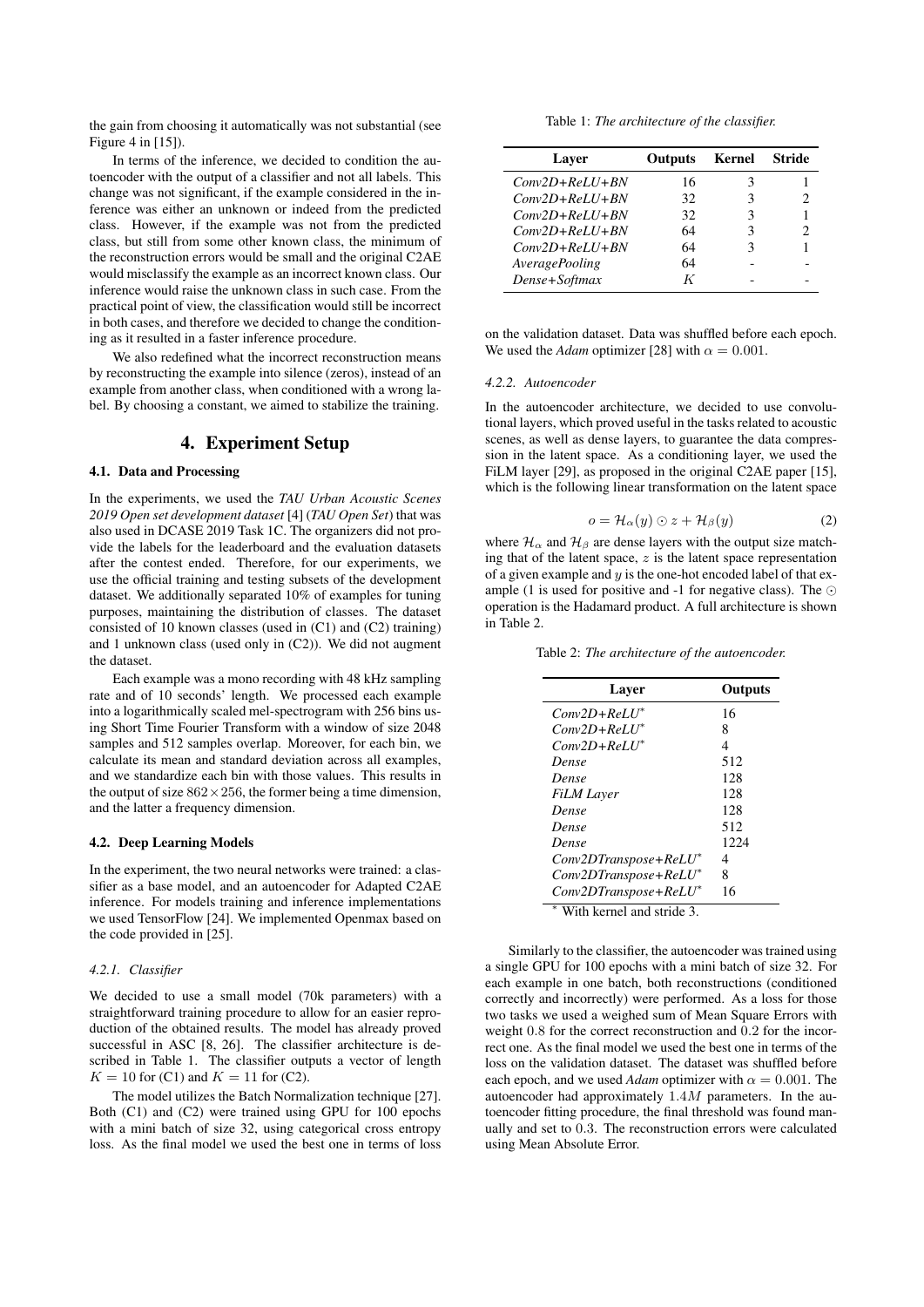the gain from choosing it automatically was not substantial (see Figure 4 in [15]).

In terms of the inference, we decided to condition the autoencoder with the output of a classifier and not all labels. This change was not significant, if the example considered in the inference was either an unknown or indeed from the predicted class. However, if the example was not from the predicted class, but still from some other known class, the minimum of the reconstruction errors would be small and the original C2AE would misclassify the example as an incorrect known class. Our inference would raise the unknown class in such case. From the practical point of view, the classification would still be incorrect in both cases, and therefore we decided to change the conditioning as it resulted in a faster inference procedure.

We also redefined what the incorrect reconstruction means by reconstructing the example into silence (zeros), instead of an example from another class, when conditioned with a wrong label. By choosing a constant, we aimed to stabilize the training.

## 4. Experiment Setup

#### 4.1. Data and Processing

In the experiments, we used the *TAU Urban Acoustic Scenes 2019 Open set development dataset* [4] (*TAU Open Set*) that was also used in DCASE 2019 Task 1C. The organizers did not provide the labels for the leaderboard and the evaluation datasets after the contest ended. Therefore, for our experiments, we use the official training and testing subsets of the development dataset. We additionally separated 10% of examples for tuning purposes, maintaining the distribution of classes. The dataset consisted of 10 known classes (used in (C1) and (C2) training) and 1 unknown class (used only in (C2)). We did not augment the dataset.

Each example was a mono recording with 48 kHz sampling rate and of 10 seconds' length. We processed each example into a logarithmically scaled mel-spectrogram with 256 bins using Short Time Fourier Transform with a window of size 2048 samples and 512 samples overlap. Moreover, for each bin, we calculate its mean and standard deviation across all examples, and we standardize each bin with those values. This results in the output of size  $862 \times 256$ , the former being a time dimension, and the latter a frequency dimension.

#### 4.2. Deep Learning Models

In the experiment, the two neural networks were trained: a classifier as a base model, and an autoencoder for Adapted C2AE inference. For models training and inference implementations we used TensorFlow [24]. We implemented Openmax based on the code provided in [25].

#### *4.2.1. Classifier*

We decided to use a small model (70k parameters) with a straightforward training procedure to allow for an easier reproduction of the obtained results. The model has already proved successful in ASC [8, 26]. The classifier architecture is described in Table 1. The classifier outputs a vector of length  $K = 10$  for (C1) and  $K = 11$  for (C2).

The model utilizes the Batch Normalization technique [27]. Both (C1) and (C2) were trained using GPU for 100 epochs with a mini batch of size 32, using categorical cross entropy loss. As the final model we used the best one in terms of loss

Table 1: *The architecture of the classifier.*

| Laver                 | <b>Outputs</b> | Kernel | <b>Stride</b> |
|-----------------------|----------------|--------|---------------|
| $Conv2D+ReLU+BN$      | 16             | 3      |               |
| $Conv2D+ReLU+BN$      | 32.            | 3      |               |
| $Conv2D+ReLU+BN$      | 32             | 3      |               |
| $Conv2D+ReLU+BN$      | 64             | 3      |               |
| $Conv2D+ReLU+BN$      | 64             | 3      |               |
| <i>AveragePooling</i> | 64             |        |               |
| Dense+Softmax         | K              |        |               |

on the validation dataset. Data was shuffled before each epoch. We used the *Adam* optimizer [28] with  $\alpha = 0.001$ .

#### *4.2.2. Autoencoder*

In the autoencoder architecture, we decided to use convolutional layers, which proved useful in the tasks related to acoustic scenes, as well as dense layers, to guarantee the data compression in the latent space. As a conditioning layer, we used the FiLM layer [29], as proposed in the original C2AE paper [15], which is the following linear transformation on the latent space

$$
o = \mathcal{H}_{\alpha}(y) \odot z + \mathcal{H}_{\beta}(y) \tag{2}
$$

where  $\mathcal{H}_{\alpha}$  and  $\mathcal{H}_{\beta}$  are dense layers with the output size matching that of the latent space,  $z$  is the latent space representation of a given example and  $y$  is the one-hot encoded label of that example (1 is used for positive and -1 for negative class). The  $\odot$ operation is the Hadamard product. A full architecture is shown in Table 2.

Table 2: *The architecture of the autoencoder.*

| Layer                     | Outputs |
|---------------------------|---------|
| $Conv2D+ReLU^*$           | 16      |
| $Conv2D+ReLU^*$           | 8       |
| $Conv2D+ReLU^*$           | 4       |
| Dense                     | 512     |
| Dense                     | 128     |
| <b>FiLM</b> Laver         | 128     |
| Dense                     | 128     |
| Dense                     | 512     |
| Dense                     | 1224    |
| $Conv2DT$ ranspose+ReLU*  | 4       |
| $Conv2DT$ ranspose+ReLU*  | 8       |
| Conv2DTranspose+ReLU*     | 16      |
| With kernel and stride 3. |         |

Similarly to the classifier, the autoencoder was trained using a single GPU for 100 epochs with a mini batch of size 32. For each example in one batch, both reconstructions (conditioned correctly and incorrectly) were performed. As a loss for those two tasks we used a weighed sum of Mean Square Errors with weight 0.8 for the correct reconstruction and 0.2 for the incorrect one. As the final model we used the best one in terms of the loss on the validation dataset. The dataset was shuffled before each epoch, and we used *Adam* optimizer with  $\alpha = 0.001$ . The autoencoder had approximately 1.4M parameters. In the autoencoder fitting procedure, the final threshold was found manually and set to 0.3. The reconstruction errors were calculated using Mean Absolute Error.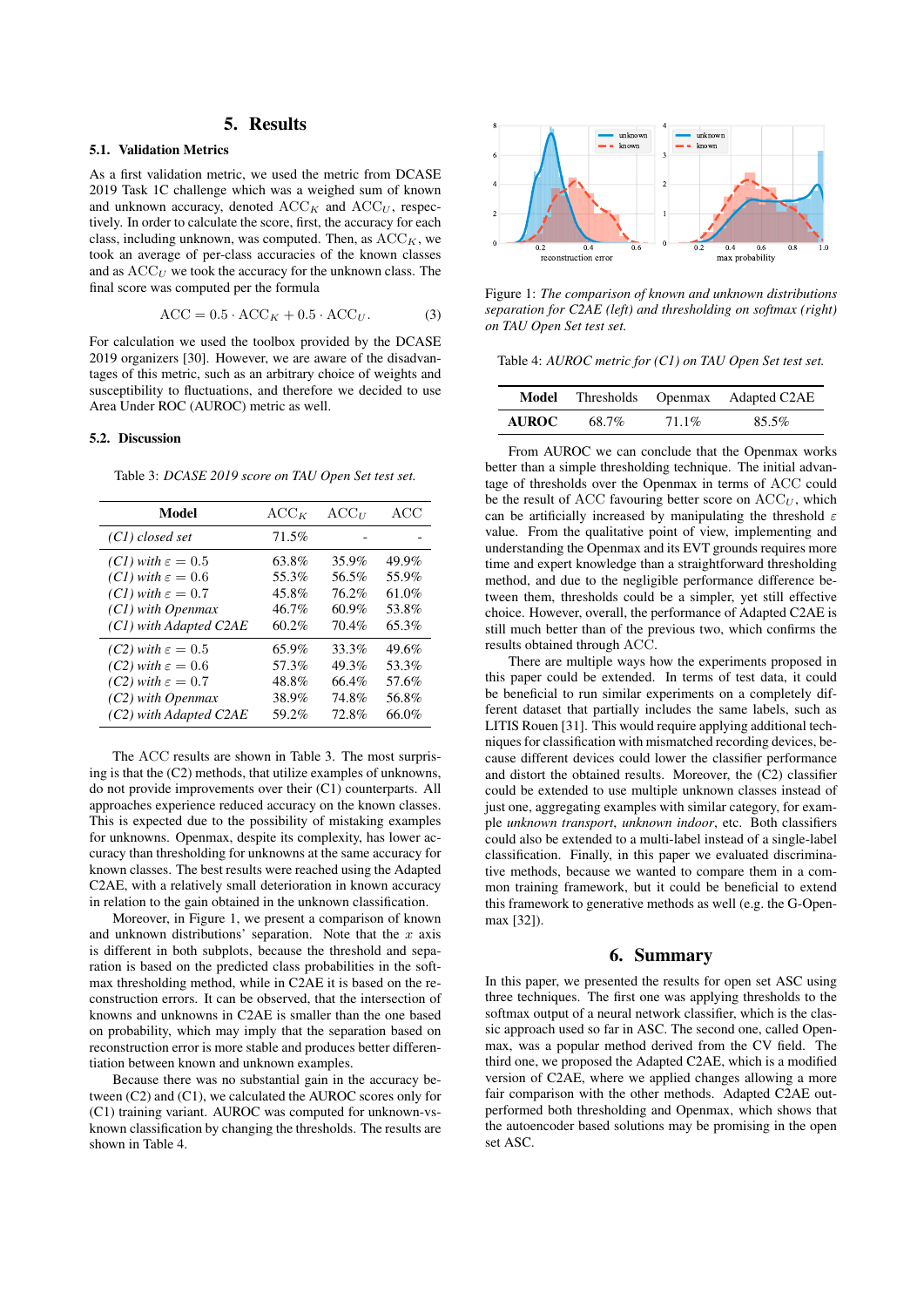## 5. Results

## 5.1. Validation Metrics

As a first validation metric, we used the metric from DCASE 2019 Task 1C challenge which was a weighed sum of known and unknown accuracy, denoted  $ACC_K$  and  $ACC_U$ , respectively. In order to calculate the score, first, the accuracy for each class, including unknown, was computed. Then, as  $ACC_K$ , we took an average of per-class accuracies of the known classes and as  $ACC_U$  we took the accuracy for the unknown class. The final score was computed per the formula

$$
ACC = 0.5 \cdot ACC_K + 0.5 \cdot ACC_U.
$$
 (3)

For calculation we used the toolbox provided by the DCASE 2019 organizers [30]. However, we are aware of the disadvantages of this metric, such as an arbitrary choice of weights and susceptibility to fluctuations, and therefore we decided to use Area Under ROC (AUROC) metric as well.

#### 5.2. Discussion

Table 3: *DCASE 2019 score on TAU Open Set test set.*

| Model                           | $ACC_K$  | $ACC_U$ | ACC   |
|---------------------------------|----------|---------|-------|
| (C1) closed set                 | 71.5%    |         |       |
| $(Cl)$ with $\varepsilon = 0.5$ | 63.8%    | 35.9%   | 49.9% |
| $(Cl)$ with $\varepsilon = 0.6$ | 55.3%    | 56.5%   | 55.9% |
| $(Cl)$ with $\varepsilon = 0.7$ | 45.8%    | 76.2%   | 61.0% |
| (C1) with Openmax               | 46.7%    | 60.9%   | 53.8% |
| $(Cl)$ with Adapted C2AE        | $60.2\%$ | 70.4%   | 65.3% |
| $(C2)$ with $\varepsilon = 0.5$ | 65.9%    | 33.3%   | 49.6% |
| $(C2)$ with $\varepsilon = 0.6$ | 57.3%    | 49.3%   | 53.3% |
| $(C2)$ with $\varepsilon = 0.7$ | 48.8%    | 66.4%   | 57.6% |
| $(C2)$ with Openmax             | 38.9%    | 74.8%   | 56.8% |
| $(C2)$ with Adapted $C2AE$      | 59.2%    | 72.8%   | 66.0% |

The ACC results are shown in Table 3. The most surprising is that the (C2) methods, that utilize examples of unknowns, do not provide improvements over their (C1) counterparts. All approaches experience reduced accuracy on the known classes. This is expected due to the possibility of mistaking examples for unknowns. Openmax, despite its complexity, has lower accuracy than thresholding for unknowns at the same accuracy for known classes. The best results were reached using the Adapted C2AE, with a relatively small deterioration in known accuracy in relation to the gain obtained in the unknown classification.

Moreover, in Figure 1, we present a comparison of known and unknown distributions' separation. Note that the  $x$  axis is different in both subplots, because the threshold and separation is based on the predicted class probabilities in the softmax thresholding method, while in C2AE it is based on the reconstruction errors. It can be observed, that the intersection of knowns and unknowns in C2AE is smaller than the one based on probability, which may imply that the separation based on reconstruction error is more stable and produces better differentiation between known and unknown examples.

Because there was no substantial gain in the accuracy between (C2) and (C1), we calculated the AUROC scores only for (C1) training variant. AUROC was computed for unknown-vsknown classification by changing the thresholds. The results are shown in Table 4.



Figure 1: *The comparison of known and unknown distributions separation for C2AE (left) and thresholding on softmax (right) on TAU Open Set test set.*

Table 4: *AUROC metric for (C1) on TAU Open Set test set.*

| Model        | Thresholds Openmax |          | Adapted C2AE |
|--------------|--------------------|----------|--------------|
| <b>AUROC</b> | 68.7%              | $71.1\%$ | 85.5%        |

From AUROC we can conclude that the Openmax works better than a simple thresholding technique. The initial advantage of thresholds over the Openmax in terms of ACC could be the result of ACC favouring better score on  $ACC_U$ , which can be artificially increased by manipulating the threshold  $\varepsilon$ value. From the qualitative point of view, implementing and understanding the Openmax and its EVT grounds requires more time and expert knowledge than a straightforward thresholding method, and due to the negligible performance difference between them, thresholds could be a simpler, yet still effective choice. However, overall, the performance of Adapted C2AE is still much better than of the previous two, which confirms the results obtained through ACC.

There are multiple ways how the experiments proposed in this paper could be extended. In terms of test data, it could be beneficial to run similar experiments on a completely different dataset that partially includes the same labels, such as LITIS Rouen [31]. This would require applying additional techniques for classification with mismatched recording devices, because different devices could lower the classifier performance and distort the obtained results. Moreover, the (C2) classifier could be extended to use multiple unknown classes instead of just one, aggregating examples with similar category, for example *unknown transport*, *unknown indoor*, etc. Both classifiers could also be extended to a multi-label instead of a single-label classification. Finally, in this paper we evaluated discriminative methods, because we wanted to compare them in a common training framework, but it could be beneficial to extend this framework to generative methods as well (e.g. the G-Openmax [32]).

## 6. Summary

In this paper, we presented the results for open set ASC using three techniques. The first one was applying thresholds to the softmax output of a neural network classifier, which is the classic approach used so far in ASC. The second one, called Openmax, was a popular method derived from the CV field. The third one, we proposed the Adapted C2AE, which is a modified version of C2AE, where we applied changes allowing a more fair comparison with the other methods. Adapted C2AE outperformed both thresholding and Openmax, which shows that the autoencoder based solutions may be promising in the open set ASC.